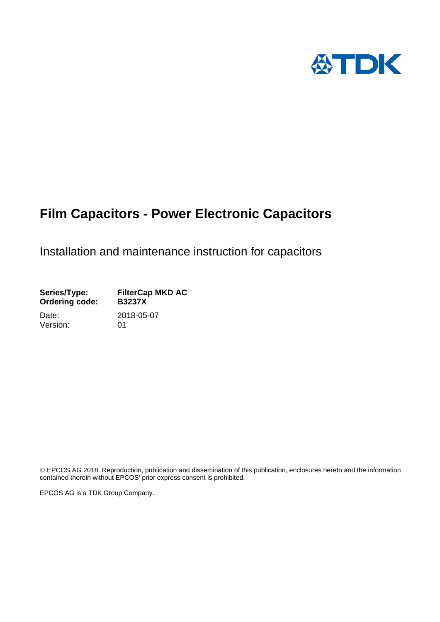

# **Film Capacitors - Power Electronic Capacitors**

Installation and maintenance instruction for capacitors

Series/Type: FilterCap MKD AC<br>Ordering code: B3237X **Ordering code:** Date: 2018-05-07

Version: 01

 EPCOS AG 2018. Reproduction, publication and dissemination of this publication, enclosures hereto and the information contained therein without EPCOS' prior express consent is prohibited.

EPCOS AG is a TDK Group Company.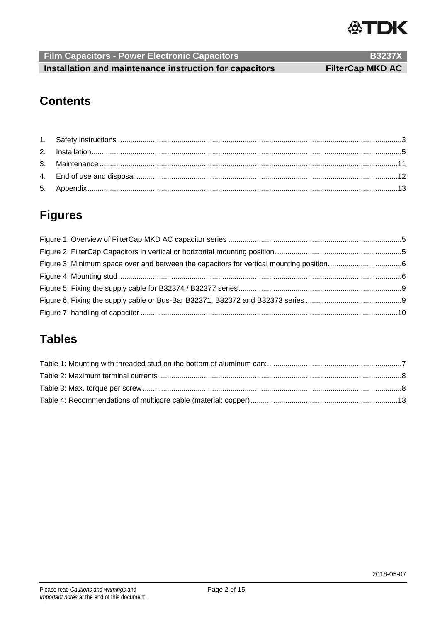

**Film Capacitors - Power Electronic Capacitors B3237X B3237X Installation and maintenance instruction for capacitors FilterCap MKD AC** 

# **Contents**

# **Figures**

# **Tables**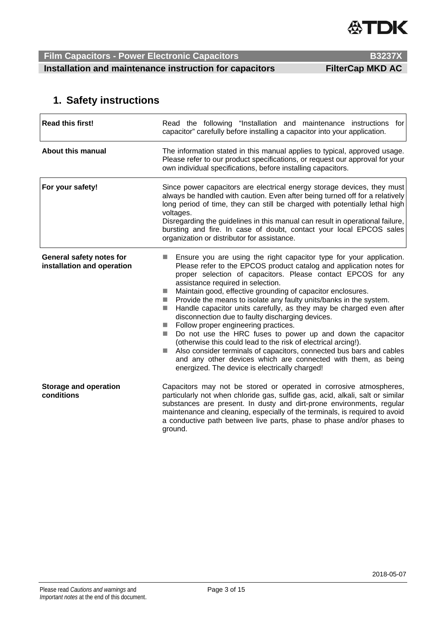

**Film Capacitors - Power Electronic Capacitors B3237X B3237X** 

**Installation and maintenance instruction for capacitors FilterCap MKD AC** 

## **1. Safety instructions**

| <b>Read this first!</b>                                | Read the following "Installation and maintenance instructions for<br>capacitor" carefully before installing a capacitor into your application.                                                                                                                                                                                                                                                                                                                                                                                                                                                                                                                                                                                                                                                                                                                                                                                                          |  |
|--------------------------------------------------------|---------------------------------------------------------------------------------------------------------------------------------------------------------------------------------------------------------------------------------------------------------------------------------------------------------------------------------------------------------------------------------------------------------------------------------------------------------------------------------------------------------------------------------------------------------------------------------------------------------------------------------------------------------------------------------------------------------------------------------------------------------------------------------------------------------------------------------------------------------------------------------------------------------------------------------------------------------|--|
| <b>About this manual</b>                               | The information stated in this manual applies to typical, approved usage.<br>Please refer to our product specifications, or request our approval for your<br>own individual specifications, before installing capacitors.                                                                                                                                                                                                                                                                                                                                                                                                                                                                                                                                                                                                                                                                                                                               |  |
| For your safety!                                       | Since power capacitors are electrical energy storage devices, they must<br>always be handled with caution. Even after being turned off for a relatively<br>long period of time, they can still be charged with potentially lethal high<br>voltages.<br>Disregarding the guidelines in this manual can result in operational failure,<br>bursting and fire. In case of doubt, contact your local EPCOS sales<br>organization or distributor for assistance.                                                                                                                                                                                                                                                                                                                                                                                                                                                                                              |  |
| General safety notes for<br>installation and operation | Ensure you are using the right capacitor type for your application.<br>Please refer to the EPCOS product catalog and application notes for<br>proper selection of capacitors. Please contact EPCOS for any<br>assistance required in selection.<br>Maintain good, effective grounding of capacitor enclosures.<br>Provide the means to isolate any faulty units/banks in the system.<br><b>In</b><br>Handle capacitor units carefully, as they may be charged even after<br><b>College</b><br>disconnection due to faulty discharging devices.<br>Follow proper engineering practices.<br>L.<br>Do not use the HRC fuses to power up and down the capacitor<br>(otherwise this could lead to the risk of electrical arcing!).<br>Also consider terminals of capacitors, connected bus bars and cables<br>$\mathcal{L}^{\mathcal{L}}$<br>and any other devices which are connected with them, as being<br>energized. The device is electrically charged! |  |
| <b>Storage and operation</b><br>conditions             | Capacitors may not be stored or operated in corrosive atmospheres,<br>particularly not when chloride gas, sulfide gas, acid, alkali, salt or similar<br>substances are present. In dusty and dirt-prone environments, regular<br>maintenance and cleaning, especially of the terminals, is required to avoid<br>a conductive path between live parts, phase to phase and/or phases to<br>ground.                                                                                                                                                                                                                                                                                                                                                                                                                                                                                                                                                        |  |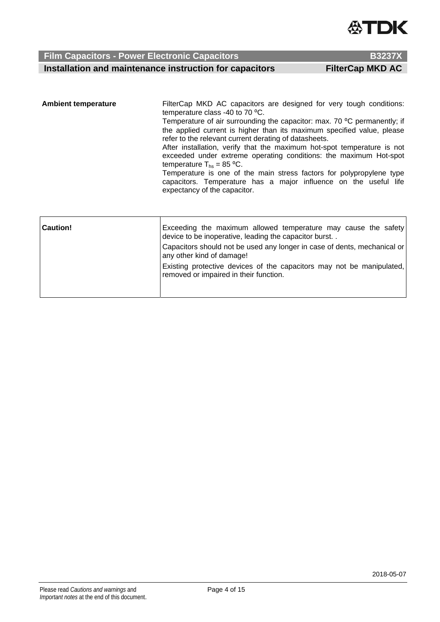

**Installation and maintenance instruction for capacitors FilterCap MKD AC** 

| <b>Ambient temperature</b> | FilterCap MKD AC capacitors are designed for very tough conditions:<br>temperature class -40 to 70 °C.<br>Temperature of air surrounding the capacitor: max. 70 °C permanently; if<br>the applied current is higher than its maximum specified value, please<br>refer to the relevant current derating of datasheets.<br>After installation, verify that the maximum hot-spot temperature is not<br>exceeded under extreme operating conditions: the maximum Hot-spot<br>temperature $T_{hs}$ = 85 °C.<br>Temperature is one of the main stress factors for polypropylene type<br>capacitors. Temperature has a major influence on the useful life<br>expectancy of the capacitor. |
|----------------------------|------------------------------------------------------------------------------------------------------------------------------------------------------------------------------------------------------------------------------------------------------------------------------------------------------------------------------------------------------------------------------------------------------------------------------------------------------------------------------------------------------------------------------------------------------------------------------------------------------------------------------------------------------------------------------------|
|                            |                                                                                                                                                                                                                                                                                                                                                                                                                                                                                                                                                                                                                                                                                    |

| <b>Caution!</b> | Exceeding the maximum allowed temperature may cause the safety<br>device to be inoperative, leading the capacitor burst |
|-----------------|-------------------------------------------------------------------------------------------------------------------------|
|                 | Capacitors should not be used any longer in case of dents, mechanical or<br>any other kind of damage!                   |
|                 | Existing protective devices of the capacitors may not be manipulated,<br>removed or impaired in their function.         |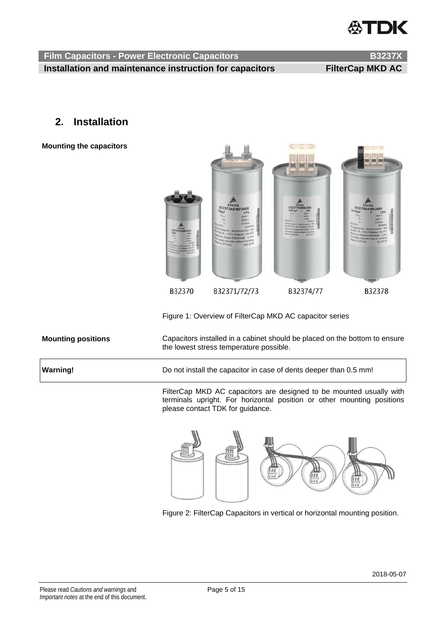# **ATDK**

**Film Capacitors - Power Electronic Capacitors B3237X <b>B3237X Installation and maintenance instruction for capacitors FilterCap MKD AC** 

### **2. Installation**

**Mounting the capacitors** 



Figure 1: Overview of FilterCap MKD AC capacitor series

| <b>Mounting positions</b> | Capacitors installed in a cabinet should be placed on the bottom to ensure<br>the lowest stress temperature possible. |
|---------------------------|-----------------------------------------------------------------------------------------------------------------------|
| Warning!                  | Do not install the capacitor in case of dents deeper than 0.5 mm!                                                     |
|                           | FilterCap MKD AC capacitors are designed to be mounted usually with                                                   |

terminals upright. For horizontal position or other mounting positions please contact TDK for guidance.



Figure 2: FilterCap Capacitors in vertical or horizontal mounting position.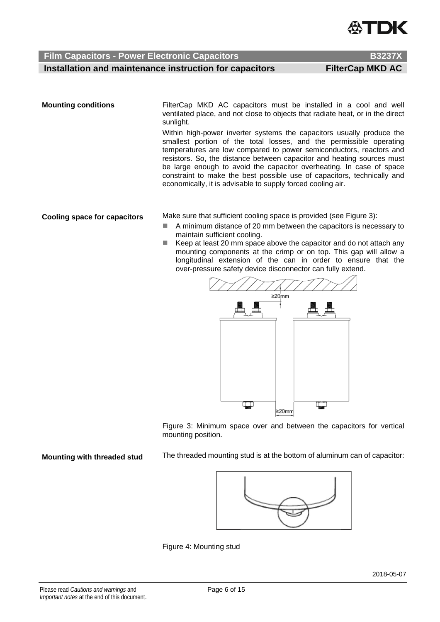

### **Film Capacitors - Power Electronic Capacitors B3237X B3237X**

**Installation and maintenance instruction for capacitors FilterCap MKD AC** 

**Mounting conditions** FilterCap MKD AC capacitors must be installed in a cool and well ventilated place, and not close to objects that radiate heat, or in the direct sunlight.

> Within high-power inverter systems the capacitors usually produce the smallest portion of the total losses, and the permissible operating temperatures are low compared to power semiconductors, reactors and resistors. So, the distance between capacitor and heating sources must be large enough to avoid the capacitor overheating. In case of space constraint to make the best possible use of capacitors, technically and economically, it is advisable to supply forced cooling air.

**Cooling space for capacitors** Make sure that sufficient cooling space is provided (see Figure 3):

- A minimum distance of 20 mm between the capacitors is necessary to maintain sufficient cooling.
- Keep at least 20 mm space above the capacitor and do not attach any mounting components at the crimp or on top. This gap will allow a longitudinal extension of the can in order to ensure that the over-pressure safety device disconnector can fully extend.



Figure 3: Minimum space over and between the capacitors for vertical mounting position.

**Mounting with threaded stud** The threaded mounting stud is at the bottom of aluminum can of capacitor:



Figure 4: Mounting stud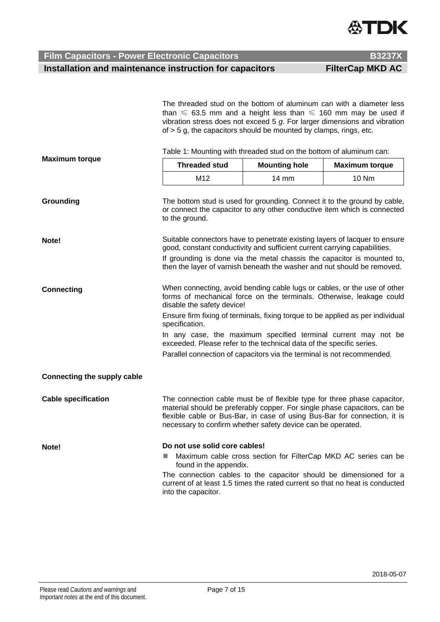

**Film Capacitors - Power Electronic Capacitors B3237X B3237X Installation and maintenance instruction for capacitors FilterCap MKD AC** 

|                             | The threaded stud on the bottom of aluminum can with a diameter less<br>than $\leq$ 63.5 mm and a height less than $\leq$ 160 mm may be used if<br>vibration stress does not exceed $5$ $g$ . For larger dimensions and vibration<br>of $>$ 5 g, the capacitors should be mounted by clamps, rings, etc.                                                                                                                                                                                               |                                                                                                                                                                                                                                                                                                   |                                                                |  |
|-----------------------------|--------------------------------------------------------------------------------------------------------------------------------------------------------------------------------------------------------------------------------------------------------------------------------------------------------------------------------------------------------------------------------------------------------------------------------------------------------------------------------------------------------|---------------------------------------------------------------------------------------------------------------------------------------------------------------------------------------------------------------------------------------------------------------------------------------------------|----------------------------------------------------------------|--|
|                             | Table 1: Mounting with threaded stud on the bottom of aluminum can:                                                                                                                                                                                                                                                                                                                                                                                                                                    |                                                                                                                                                                                                                                                                                                   |                                                                |  |
| <b>Maximum torque</b>       | <b>Threaded stud</b>                                                                                                                                                                                                                                                                                                                                                                                                                                                                                   | <b>Mounting hole</b>                                                                                                                                                                                                                                                                              | <b>Maximum torque</b>                                          |  |
|                             | M12                                                                                                                                                                                                                                                                                                                                                                                                                                                                                                    | 14 mm                                                                                                                                                                                                                                                                                             | <b>10 Nm</b>                                                   |  |
| Grounding                   | The bottom stud is used for grounding. Connect it to the ground by cable,<br>or connect the capacitor to any other conductive item which is connected<br>to the ground.                                                                                                                                                                                                                                                                                                                                |                                                                                                                                                                                                                                                                                                   |                                                                |  |
| Note!                       | Suitable connectors have to penetrate existing layers of lacquer to ensure<br>good, constant conductivity and sufficient current carrying capabilities.<br>If grounding is done via the metal chassis the capacitor is mounted to,<br>then the layer of varnish beneath the washer and nut should be removed.                                                                                                                                                                                          |                                                                                                                                                                                                                                                                                                   |                                                                |  |
| <b>Connecting</b>           | When connecting, avoid bending cable lugs or cables, or the use of other<br>forms of mechanical force on the terminals. Otherwise, leakage could<br>disable the safety device!<br>Ensure firm fixing of terminals, fixing torque to be applied as per individual<br>specification.<br>In any case, the maximum specified terminal current may not be<br>exceeded. Please refer to the technical data of the specific series.<br>Parallel connection of capacitors via the terminal is not recommended. |                                                                                                                                                                                                                                                                                                   |                                                                |  |
| Connecting the supply cable |                                                                                                                                                                                                                                                                                                                                                                                                                                                                                                        |                                                                                                                                                                                                                                                                                                   |                                                                |  |
| <b>Cable specification</b>  |                                                                                                                                                                                                                                                                                                                                                                                                                                                                                                        | The connection cable must be of flexible type for three phase capacitor,<br>material should be preferably copper. For single phase capacitors, can be<br>flexible cable or Bus-Bar, in case of using Bus-Bar for connection, it is<br>necessary to confirm whether safety device can be operated. |                                                                |  |
| Note!                       | Do not use solid core cables!<br>ш<br>found in the appendix.<br>The connection cables to the capacitor should be dimensioned for a<br>current of at least 1.5 times the rated current so that no heat is conducted<br>into the capacitor.                                                                                                                                                                                                                                                              |                                                                                                                                                                                                                                                                                                   | Maximum cable cross section for FilterCap MKD AC series can be |  |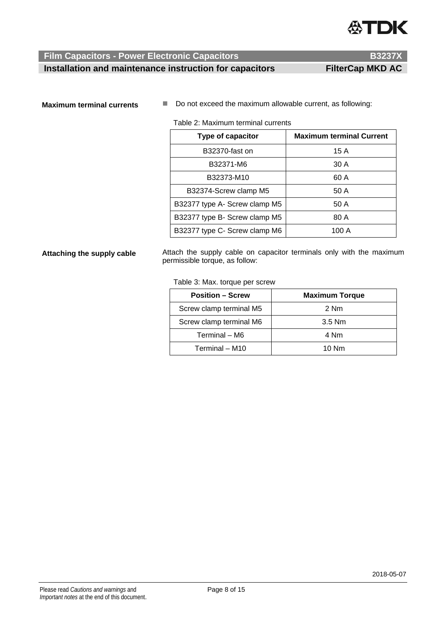

**Installation and maintenance instruction for capacitors FilterCap MKD AC** 

**Maximum terminal currents**  $\blacksquare$  Do not exceed the maximum allowable current, as following:

Table 2: Maximum terminal currents

| Type of capacitor             | <b>Maximum terminal Current</b> |
|-------------------------------|---------------------------------|
| B32370-fast on                | 15 A                            |
| B32371-M6                     | 30 A                            |
| B32373-M10                    | 60 A                            |
| B32374-Screw clamp M5         | 50 A                            |
| B32377 type A- Screw clamp M5 | 50 A                            |
| B32377 type B- Screw clamp M5 | 80 A                            |
| B32377 type C- Screw clamp M6 | 100 A                           |

**Attaching the supply cable** Attach the supply cable on capacitor terminals only with the maximum permissible torque, as follow:

### Table 3: Max. torque per screw

| <b>Position - Screw</b> | <b>Maximum Torque</b> |
|-------------------------|-----------------------|
| Screw clamp terminal M5 | 2 Nm                  |
| Screw clamp terminal M6 | $3.5$ Nm              |
| Terminal - M6           | 4 Nm                  |
| Terminal - M10          | $10$ Nm               |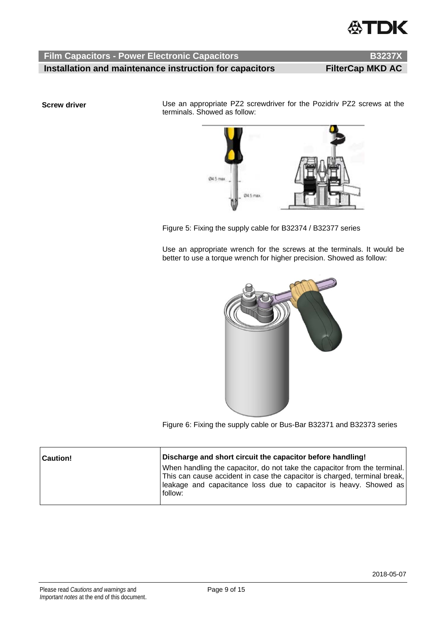

**Film Capacitors - Power Electronic Capacitors B3237X <b>B3237X** 

**Installation and maintenance instruction for capacitors FilterCap MKD AC** 

**Screw driver EXEC SCREW INCOCO EXECUTE:** Use an appropriate PZ2 screwdriver for the Pozidriv PZ2 screws at the terminals. Showed as follow:



Figure 5: Fixing the supply cable for B32374 / B32377 series

Use an appropriate wrench for the screws at the terminals. It would be better to use a torque wrench for higher precision. Showed as follow:



Figure 6: Fixing the supply cable or Bus-Bar B32371 and B32373 series

| <b>Caution!</b> | Discharge and short circuit the capacitor before handling!                                                                                                                                                                              |
|-----------------|-----------------------------------------------------------------------------------------------------------------------------------------------------------------------------------------------------------------------------------------|
|                 | When handling the capacitor, do not take the capacitor from the terminal.<br>This can cause accident in case the capacitor is charged, terminal break,<br> leakage and capacitance loss due to capacitor is heavy. Showed as<br>follow: |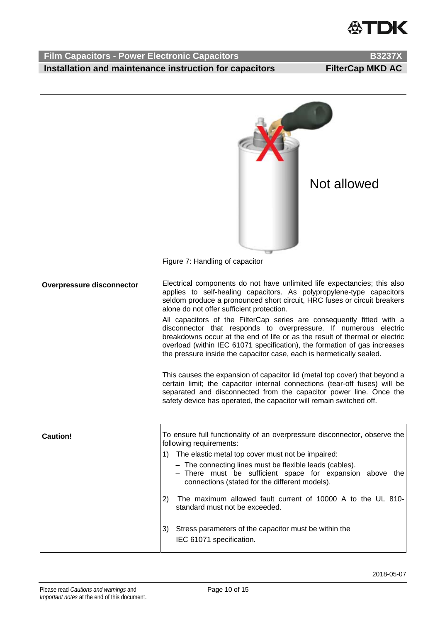# **ХТПК**

### **Film Capacitors - Power Electronic Capacitors B3237X <b>B3237X Installation and maintenance instruction for capacitors FilterCap MKD AC**



Figure 7: Handling of capacitor

**Overpressure disconnector** Electrical components do not have unlimited life expectancies; this also applies to self-healing capacitors. As polypropylene-type capacitors seldom produce a pronounced short circuit, HRC fuses or circuit breakers alone do not offer sufficient protection.

> All capacitors of the FilterCap series are consequently fitted with a disconnector that responds to overpressure. If numerous electric breakdowns occur at the end of life or as the result of thermal or electric overload (within IEC 61071 specification), the formation of gas increases the pressure inside the capacitor case, each is hermetically sealed.

> This causes the expansion of capacitor lid (metal top cover) that beyond a certain limit; the capacitor internal connections (tear-off fuses) will be separated and disconnected from the capacitor power line. Once the safety device has operated, the capacitor will remain switched off.

| Caution! | To ensure full functionality of an overpressure disconnector, observe the<br>following requirements:                                                                  |  |
|----------|-----------------------------------------------------------------------------------------------------------------------------------------------------------------------|--|
|          | The elastic metal top cover must not be impaired:                                                                                                                     |  |
|          | - The connecting lines must be flexible leads (cables).<br>- There must be sufficient space for expansion above the<br>connections (stated for the different models). |  |
|          | The maximum allowed fault current of 10000 A to the UL 810-<br>2)<br>standard must not be exceeded.                                                                   |  |
|          | Stress parameters of the capacitor must be within the<br>3)<br>IEC 61071 specification.                                                                               |  |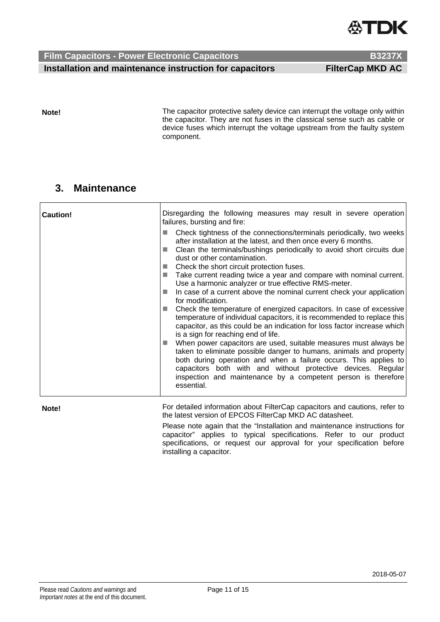

**Film Capacitors - Power Electronic Capacitors B3237X <b>B3237X Installation and maintenance instruction for capacitors FilterCap MKD AC** 

**Note!** 

The capacitor protective safety device can interrupt the voltage only within the capacitor. They are not fuses in the classical sense such as cable or device fuses which interrupt the voltage upstream from the faulty system component.

### **3. Maintenance**

| <b>Caution!</b> | Disregarding the following measures may result in severe operation<br>failures, bursting and fire:<br>Check tightness of the connections/terminals periodically, two weeks<br>after installation at the latest, and then once every 6 months.<br>Clean the terminals/bushings periodically to avoid short circuits due<br>dust or other contamination.<br>Check the short circuit protection fuses.<br>Take current reading twice a year and compare with nominal current.<br><b>COL</b><br>Use a harmonic analyzer or true effective RMS-meter.<br>In case of a current above the nominal current check your application<br>ш<br>for modification.<br>Check the temperature of energized capacitors. In case of excessive<br>temperature of individual capacitors, it is recommended to replace this<br>capacitor, as this could be an indication for loss factor increase which<br>is a sign for reaching end of life.<br>When power capacitors are used, suitable measures must always be<br><b>Tale</b><br>taken to eliminate possible danger to humans, animals and property<br>both during operation and when a failure occurs. This applies to<br>capacitors both with and without protective devices. Regular<br>inspection and maintenance by a competent person is therefore<br>essential. |  |
|-----------------|------------------------------------------------------------------------------------------------------------------------------------------------------------------------------------------------------------------------------------------------------------------------------------------------------------------------------------------------------------------------------------------------------------------------------------------------------------------------------------------------------------------------------------------------------------------------------------------------------------------------------------------------------------------------------------------------------------------------------------------------------------------------------------------------------------------------------------------------------------------------------------------------------------------------------------------------------------------------------------------------------------------------------------------------------------------------------------------------------------------------------------------------------------------------------------------------------------------------------------------------------------------------------------------------------|--|
| Note!           | For detailed information about FilterCap capacitors and cautions, refer to<br>the latest version of EPCOS FilterCap MKD AC datasheet.                                                                                                                                                                                                                                                                                                                                                                                                                                                                                                                                                                                                                                                                                                                                                                                                                                                                                                                                                                                                                                                                                                                                                                |  |

Please note again that the "Installation and maintenance instructions for capacitor" applies to typical specifications. Refer to our product specifications, or request our approval for your specification before installing a capacitor.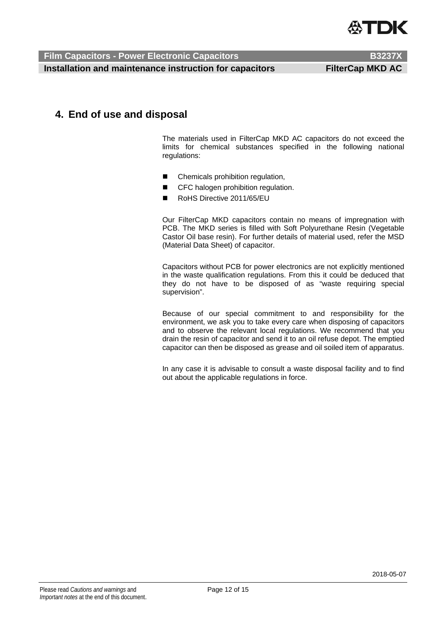

 **Film Capacitors - Power Electronic Capacitors B3237X <b>B3237X** 

**Installation and maintenance instruction for capacitors FilterCap MKD AC** 

### **4. End of use and disposal**

The materials used in FilterCap MKD AC capacitors do not exceed the limits for chemical substances specified in the following national regulations:

- Chemicals prohibition regulation,
- **CFC** halogen prohibition regulation.
- RoHS Directive 2011/65/EU

Our FilterCap MKD capacitors contain no means of impregnation with PCB. The MKD series is filled with Soft Polyurethane Resin (Vegetable Castor Oil base resin). For further details of material used, refer the MSD (Material Data Sheet) of capacitor.

Capacitors without PCB for power electronics are not explicitly mentioned in the waste qualification regulations. From this it could be deduced that they do not have to be disposed of as "waste requiring special supervision".

Because of our special commitment to and responsibility for the environment, we ask you to take every care when disposing of capacitors and to observe the relevant local regulations. We recommend that you drain the resin of capacitor and send it to an oil refuse depot. The emptied capacitor can then be disposed as grease and oil soiled item of apparatus.

In any case it is advisable to consult a waste disposal facility and to find out about the applicable regulations in force.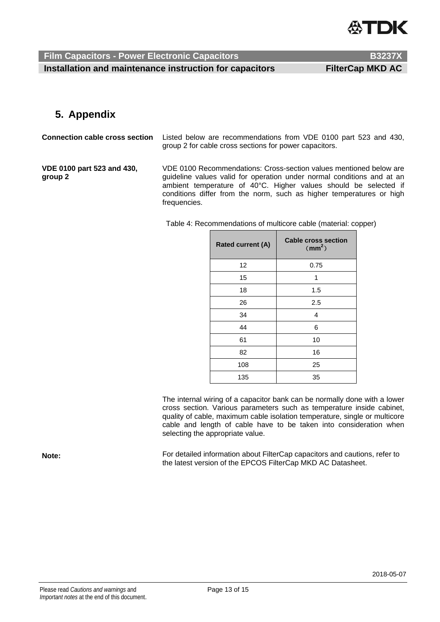

**Installation and maintenance instruction for capacitors FilterCap MKD AC** 

### **5. Appendix**

**Connection cable cross section** Listed below are recommendations from VDE 0100 part 523 and 430, group 2 for cable cross sections for power capacitors. **VDE 0100 part 523 and 430, group 2**  VDE 0100 Recommendations: Cross-section values mentioned below are guideline values valid for operation under normal conditions and at an ambient temperature of 40°C. Higher values should be selected if conditions differ from the norm, such as higher temperatures or high frequencies.

Table 4: Recommendations of multicore cable (material: copper)

| <b>Rated current (A)</b> | <b>Cable cross section</b><br>$\text{m}^2$ |
|--------------------------|--------------------------------------------|
| 12                       | 0.75                                       |
| 15                       | 1                                          |
| 18                       | 1.5                                        |
| 26                       | 2.5                                        |
| 34                       | 4                                          |
| 44                       | 6                                          |
| 61                       | 10                                         |
| 82                       | 16                                         |
| 108                      | 25                                         |
| 135                      | 35                                         |

The internal wiring of a capacitor bank can be normally done with a lower cross section. Various parameters such as temperature inside cabinet, quality of cable, maximum cable isolation temperature, single or multicore cable and length of cable have to be taken into consideration when selecting the appropriate value.

**Note:** For detailed information about FilterCap capacitors and cautions, refer to the latest version of the EPCOS FilterCap MKD AC Datasheet.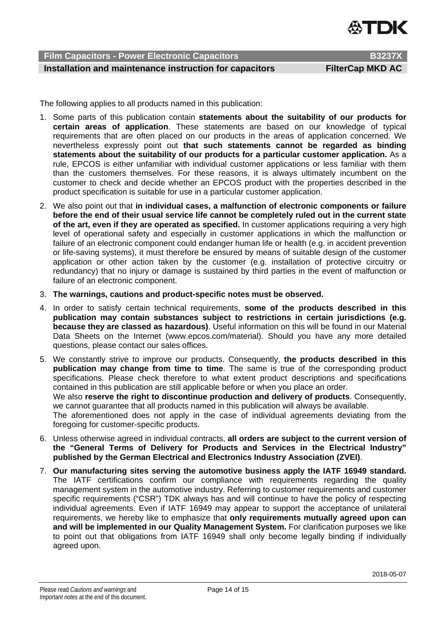

 **Film Capacitors - Power Electronic Capacitors B3237X B3237** 

### **Installation and maintenance instruction for capacitors FilterCap MKD AC**

The following applies to all products named in this publication:

- 1. Some parts of this publication contain **statements about the suitability of our products for certain areas of application**. These statements are based on our knowledge of typical requirements that are often placed on our products in the areas of application concerned. We nevertheless expressly point out **that such statements cannot be regarded as binding statements about the suitability of our products for a particular customer application.** As a rule, EPCOS is either unfamiliar with individual customer applications or less familiar with them than the customers themselves. For these reasons, it is always ultimately incumbent on the customer to check and decide whether an EPCOS product with the properties described in the product specification is suitable for use in a particular customer application.
- 2. We also point out that **in individual cases, a malfunction of electronic components or failure before the end of their usual service life cannot be completely ruled out in the current state of the art, even if they are operated as specified.** In customer applications requiring a very high level of operational safety and especially in customer applications in which the malfunction or failure of an electronic component could endanger human life or health (e.g. in accident prevention or life-saving systems), it must therefore be ensured by means of suitable design of the customer application or other action taken by the customer (e.g. installation of protective circuitry or redundancy) that no injury or damage is sustained by third parties in the event of malfunction or failure of an electronic component.
- 3. **The warnings, cautions and product-specific notes must be observed.**
- 4. In order to satisfy certain technical requirements, **some of the products described in this publication may contain substances subject to restrictions in certain jurisdictions (e.g. because they are classed as hazardous)**. Useful information on this will be found in our Material Data Sheets on the Internet (www.epcos.com/material). Should you have any more detailed questions, please contact our sales offices.
- 5. We constantly strive to improve our products. Consequently, **the products described in this publication may change from time to time**. The same is true of the corresponding product specifications. Please check therefore to what extent product descriptions and specifications contained in this publication are still applicable before or when you place an order. We also **reserve the right to discontinue production and delivery of products**. Consequently, we cannot guarantee that all products named in this publication will always be available. The aforementioned does not apply in the case of individual agreements deviating from the foregoing for customer-specific products.
- 6. Unless otherwise agreed in individual contracts, **all orders are subject to the current version of the "General Terms of Delivery for Products and Services in the Electrical Industry" published by the German Electrical and Electronics Industry Association (ZVEI)**.
- 7. **Our manufacturing sites serving the automotive business apply the IATF 16949 standard.** The IATF certifications confirm our compliance with requirements regarding the quality management system in the automotive industry. Referring to customer requirements and customer specific requirements ("CSR") TDK always has and will continue to have the policy of respecting individual agreements. Even if IATF 16949 may appear to support the acceptance of unilateral requirements, we hereby like to emphasize that **only requirements mutually agreed upon can and will be implemented in our Quality Management System.** For clarification purposes we like to point out that obligations from IATF 16949 shall only become legally binding if individually agreed upon.